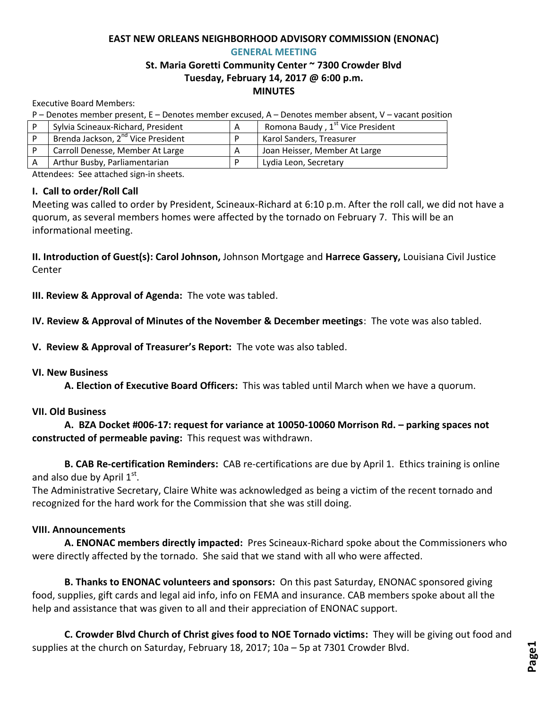#### **EAST NEW ORLEANS NEIGHBORHOOD ADVISORY COMMISSION (ENONAC) GENERAL MEETING**

# **St. Maria Goretti Community Center ~ 7300 Crowder Blvd Tuesday, February 14, 2017 @ 6:00 p.m. MINUTES**

Executive Board Members:

P – Denotes member present, E – Denotes member excused, A – Denotes member absent, V – vacant position

| Sylvia Scineaux-Richard, President             | Romona Baudy, 1 <sup>st</sup> Vice President |
|------------------------------------------------|----------------------------------------------|
| Brenda Jackson, 2 <sup>nd</sup> Vice President | Karol Sanders, Treasurer                     |
| Carroll Denesse, Member At Large               | Joan Heisser, Member At Large                |
| Arthur Busby, Parliamentarian                  | Lydia Leon, Secretary                        |

Attendees: See attached sign-in sheets.

### **I. Call to order/Roll Call**

Meeting was called to order by President, Scineaux-Richard at 6:10 p.m. After the roll call, we did not have a quorum, as several members homes were affected by the tornado on February 7. This will be an informational meeting.

**II. Introduction of Guest(s): Carol Johnson,** Johnson Mortgage and **Harrece Gassery,** Louisiana Civil Justice Center

**III. Review & Approval of Agenda:** The vote was tabled.

**IV. Review & Approval of Minutes of the November & December meetings**: The vote was also tabled.

**V. Review & Approval of Treasurer's Report:** The vote was also tabled.

#### **VI. New Business**

**A. Election of Executive Board Officers:** This was tabled until March when we have a quorum.

### **VII. Old Business**

 **A. BZA Docket #006-17: request for variance at 10050-10060 Morrison Rd. – parking spaces not constructed of permeable paving:** This request was withdrawn.

**B. CAB Re-certification Reminders:** CAB re-certifications are due by April 1. Ethics training is online and also due by April  $1<sup>st</sup>$ .

The Administrative Secretary, Claire White was acknowledged as being a victim of the recent tornado and recognized for the hard work for the Commission that she was still doing.

### **VIII. Announcements**

**A. ENONAC members directly impacted:** Pres Scineaux-Richard spoke about the Commissioners who were directly affected by the tornado. She said that we stand with all who were affected.

**B. Thanks to ENONAC volunteers and sponsors:** On this past Saturday, ENONAC sponsored giving food, supplies, gift cards and legal aid info, info on FEMA and insurance. CAB members spoke about all the help and assistance that was given to all and their appreciation of ENONAC support.

**C. Crowder Blvd Church of Christ gives food to NOE Tornado victims:** They will be giving out food and supplies at the church on Saturday, February 18, 2017; 10a – 5p at 7301 Crowder Blvd.